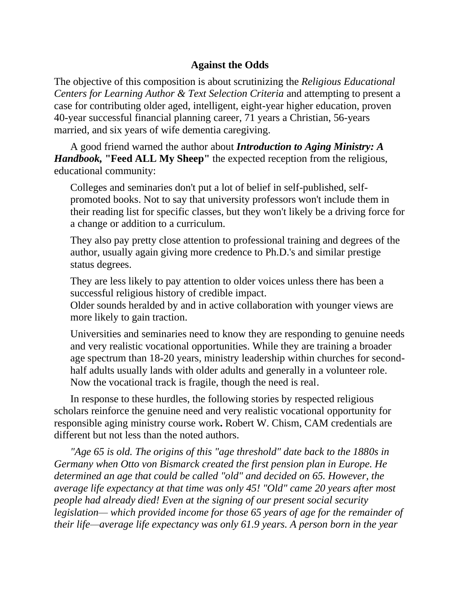## **Against the Odds**

The objective of this composition is about scrutinizing the *Religious Educational Centers for Learning Author & Text Selection Criteria* and attempting to present a case for contributing older aged, intelligent, eight-year higher education, proven 40-year successful financial planning career, 71 years a Christian, 56-years married, and six years of wife dementia caregiving.

A good friend warned the author about *Introduction to Aging Ministry: A Handbook,* **"Feed ALL My Sheep"** the expected reception from the religious, educational community:

Colleges and seminaries don't put a lot of belief in self-published, selfpromoted books. Not to say that university professors won't include them in their reading list for specific classes, but they won't likely be a driving force for a change or addition to a curriculum.

They also pay pretty close attention to professional training and degrees of the author, usually again giving more credence to Ph.D.'s and similar prestige status degrees.

They are less likely to pay attention to older voices unless there has been a successful religious history of credible impact.

Older sounds heralded by and in active collaboration with younger views are more likely to gain traction.

Universities and seminaries need to know they are responding to genuine needs and very realistic vocational opportunities. While they are training a broader age spectrum than 18-20 years, ministry leadership within churches for secondhalf adults usually lands with older adults and generally in a volunteer role. Now the vocational track is fragile, though the need is real.

In response to these hurdles, the following stories by respected religious scholars reinforce the genuine need and very realistic vocational opportunity for responsible aging ministry course work**.** Robert W. Chism, CAM credentials are different but not less than the noted authors.

*"Age 65 is old. The origins of this "age threshold" date back to the 1880s in Germany when Otto von Bismarck created the first pension plan in Europe. He determined an age that could be called "old" and decided on 65. However, the average life expectancy at that time was only 45! "Old" came 20 years after most people had already died! Even at the signing of our present social security legislation— which provided income for those 65 years of age for the remainder of their life—average life expectancy was only 61.9 years. A person born in the year*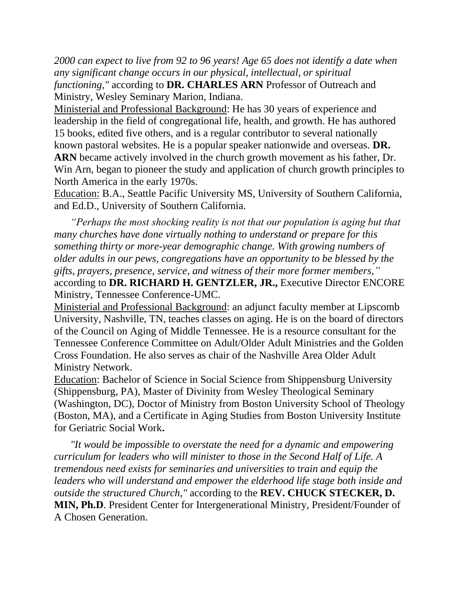*2000 can expect to live from 92 to 96 years! Age 65 does not identify a date when any significant change occurs in our physical, intellectual, or spiritual functioning,"* according to **DR. CHARLES ARN** Professor of Outreach and Ministry, Wesley Seminary Marion, Indiana.

Ministerial and Professional Background: He has 30 years of experience and leadership in the field of congregational life, health, and growth. He has authored 15 books, edited five others, and is a regular contributor to several nationally known pastoral websites. He is a popular speaker nationwide and overseas. **DR. ARN** became actively involved in the church growth movement as his father, Dr. Win Arn, began to pioneer the study and application of church growth principles to North America in the early 1970s.

Education: B.A., Seattle Pacific University MS, University of Southern California, and Ed.D., University of Southern California.

*"Perhaps the most shocking reality is not that our population is aging but that many churches have done virtually nothing to understand or prepare for this something thirty or more-year demographic change. With growing numbers of older adults in our pews, congregations have an opportunity to be blessed by the gifts, prayers, presence, service, and witness of their more former members,"* according to **DR. RICHARD H. GENTZLER, JR.,** Executive Director ENCORE Ministry, Tennessee Conference-UMC.

Ministerial and Professional Background: an adjunct faculty member at Lipscomb University, Nashville, TN, teaches classes on aging. He is on the board of directors of the Council on Aging of Middle Tennessee. He is a resource consultant for the Tennessee Conference Committee on Adult/Older Adult Ministries and the Golden Cross Foundation. He also serves as chair of the Nashville Area Older Adult Ministry Network.

Education: Bachelor of Science in Social Science from Shippensburg University (Shippensburg, PA), Master of Divinity from Wesley Theological Seminary (Washington, DC), Doctor of Ministry from Boston University School of Theology (Boston, MA), and a Certificate in Aging Studies from Boston University Institute for Geriatric Social Work**.**

*"It would be impossible to overstate the need for a dynamic and empowering curriculum for leaders who will minister to those in the Second Half of Life. A tremendous need exists for seminaries and universities to train and equip the leaders who will understand and empower the elderhood life stage both inside and outside the structured Church,"* according to the **REV. CHUCK STECKER, D. MIN, Ph.D**. President Center for Intergenerational Ministry, President/Founder of A Chosen Generation.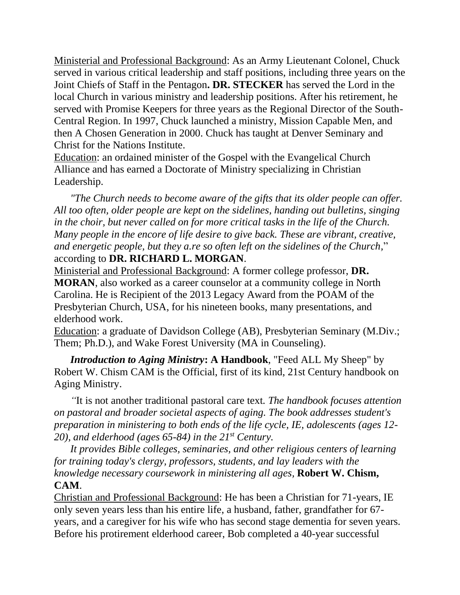Ministerial and Professional Background: As an Army Lieutenant Colonel, Chuck served in various critical leadership and staff positions, including three years on the Joint Chiefs of Staff in the Pentagon**. DR. STECKER** has served the Lord in the local Church in various ministry and leadership positions. After his retirement, he served with Promise Keepers for three years as the Regional Director of the South-Central Region. In 1997, Chuck launched a ministry, Mission Capable Men, and then A Chosen Generation in 2000. Chuck has taught at Denver Seminary and Christ for the Nations Institute.

Education: an ordained minister of the Gospel with the Evangelical Church Alliance and has earned a Doctorate of Ministry specializing in Christian Leadership.

*"The Church needs to become aware of the gifts that its older people can offer. All too often, older people are kept on the sidelines, handing out bulletins, singing in the choir, but never called on for more critical tasks in the life of the Church. Many people in the encore of life desire to give back. These are vibrant, creative, and energetic people, but they a.re so often left on the sidelines of the Church,*" according to **DR. RICHARD L. MORGAN**.

Ministerial and Professional Background: A former college professor, **DR. MORAN**, also worked as a career counselor at a community college in North Carolina. He is Recipient of the 2013 Legacy Award from the POAM of the Presbyterian Church, USA, for his nineteen books, many presentations, and elderhood work.

Education: a graduate of Davidson College (AB), Presbyterian Seminary (M.Div.; Them; Ph.D.), and Wake Forest University (MA in Counseling).

*Introduction to Aging Ministry***: A Handbook**, "Feed ALL My Sheep" by Robert W. Chism CAM is the Official, first of its kind, 21st Century handbook on Aging Ministry.

*"*It is not another traditional pastoral care text*. The handbook focuses attention on pastoral and broader societal aspects of aging. The book addresses student's preparation in ministering to both ends of the life cycle, IE, adolescents (ages 12- 20), and elderhood (ages 65-84) in the 21st Century.*

*It provides Bible colleges, seminaries, and other religious centers of learning for training today's clergy, professors, students, and lay leaders with the knowledge necessary coursework in ministering all ages,* **Robert W. Chism, CAM**.

Christian and Professional Background: He has been a Christian for 71-years, IE only seven years less than his entire life, a husband, father, grandfather for 67 years, and a caregiver for his wife who has second stage dementia for seven years. Before his protirement elderhood career, Bob completed a 40-year successful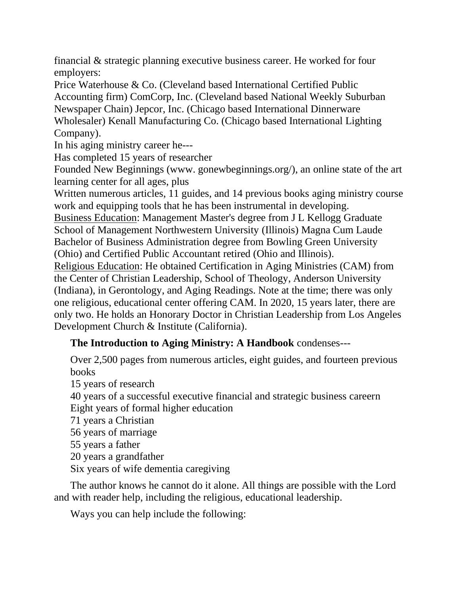financial & strategic planning executive business career. He worked for four employers:

Price Waterhouse & Co. (Cleveland based International Certified Public Accounting firm) ComCorp, Inc. (Cleveland based National Weekly Suburban Newspaper Chain) Jepcor, Inc. (Chicago based International Dinnerware Wholesaler) Kenall Manufacturing Co. (Chicago based International Lighting Company).

In his aging ministry career he---

Has completed 15 years of researcher

Founded New Beginnings (www. gonewbeginnings.org/), an online state of the art learning center for all ages, plus

Written numerous articles, 11 guides, and 14 previous books aging ministry course work and equipping tools that he has been instrumental in developing.

Business Education: Management Master's degree from J L Kellogg Graduate School of Management Northwestern University (Illinois) Magna Cum Laude Bachelor of Business Administration degree from Bowling Green University (Ohio) and Certified Public Accountant retired (Ohio and Illinois).

Religious Education: He obtained Certification in Aging Ministries (CAM) from the Center of Christian Leadership, School of Theology, Anderson University (Indiana), in Gerontology, and Aging Readings. Note at the time; there was only one religious, educational center offering CAM. In 2020, 15 years later, there are only two. He holds an Honorary Doctor in Christian Leadership from Los Angeles Development Church & Institute (California).

## **The Introduction to Aging Ministry: A Handbook** condenses---

Over 2,500 pages from numerous articles, eight guides, and fourteen previous books

15 years of research

40 years of a successful executive financial and strategic business careern Eight years of formal higher education

71 years a Christian

56 years of marriage

55 years a father

20 years a grandfather

Six years of wife dementia caregiving

The author knows he cannot do it alone. All things are possible with the Lord and with reader help, including the religious, educational leadership.

Ways you can help include the following: